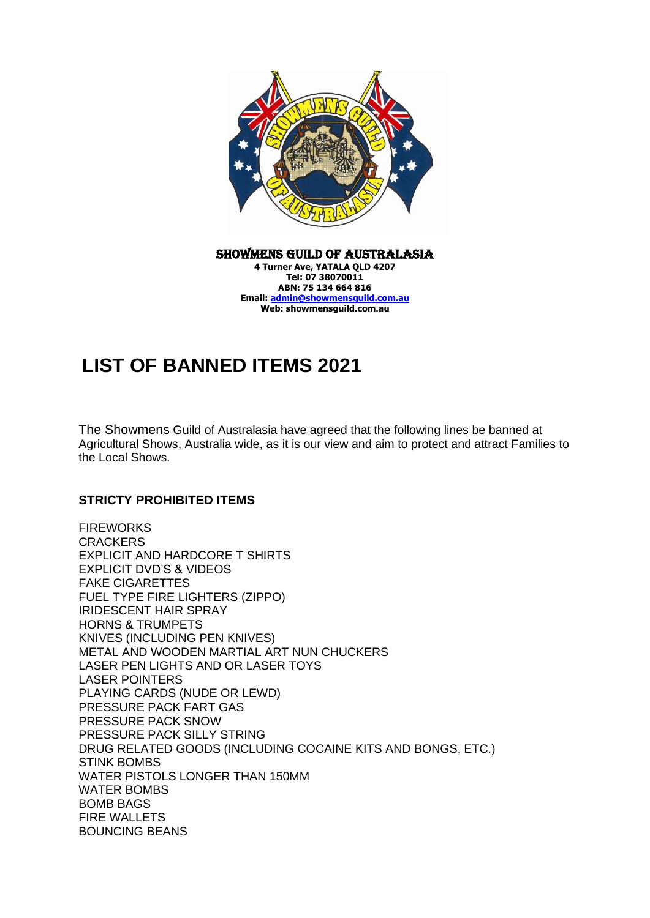

Showmens Guild of Australasia **4 Turner Ave, YATALA QLD 4207 Tel: 07 38070011 ABN: 75 134 664 816 Email: [admin@showmensguild.com.au](mailto:admin@showmensguild.com.au) Web: showmensguild.com.au**

## **LIST OF BANNED ITEMS 2021**

The Showmens Guild of Australasia have agreed that the following lines be banned at Agricultural Shows, Australia wide, as it is our view and aim to protect and attract Families to the Local Shows.

## **STRICTY PROHIBITED ITEMS**

**FIREWORKS CRACKERS** EXPLICIT AND HARDCORE T SHIRTS EXPLICIT DVD'S & VIDEOS FAKE CIGARETTES FUEL TYPE FIRE LIGHTERS (ZIPPO) IRIDESCENT HAIR SPRAY HORNS & TRUMPETS KNIVES (INCLUDING PEN KNIVES) METAL AND WOODEN MARTIAL ART NUN CHUCKERS LASER PEN LIGHTS AND OR LASER TOYS LASER POINTERS PLAYING CARDS (NUDE OR LEWD) PRESSURE PACK FART GAS PRESSURE PACK SNOW PRESSURE PACK SILLY STRING DRUG RELATED GOODS (INCLUDING COCAINE KITS AND BONGS, ETC.) STINK BOMBS WATER PISTOLS LONGER THAN 150MM WATER BOMBS BOMB BAGS FIRE WALLETS BOUNCING BEANS